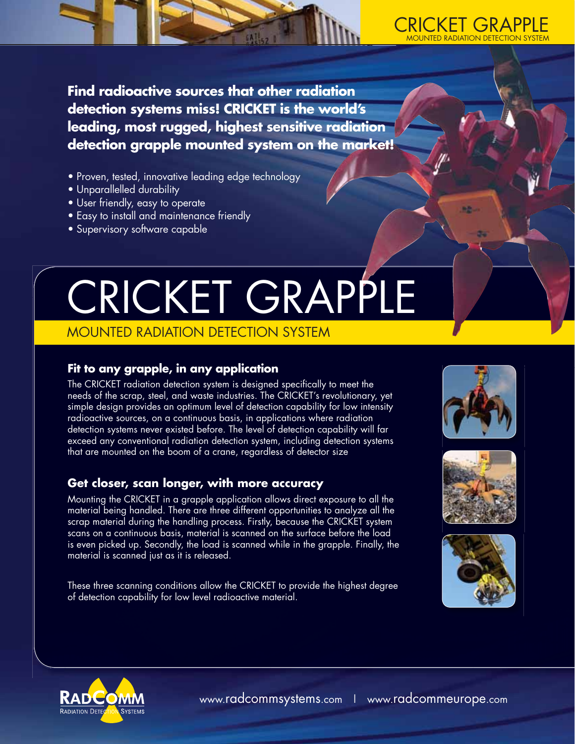

**Find radioactive sources that other radiation detection systems miss! CRICKET is the world's leading, most rugged, highest sensitive radiation detection grapple mounted system on the market!** 

- Proven, tested, innovative leading edge technology
- Unparallelled durability
- User friendly, easy to operate
- Easy to install and maintenance friendly
- Supervisory software capable

# CRICKET GRAPPLE

## MOUNTED RADIATION DETECTION SYSTEM

### **Fit to any grapple, in any application**

The CRICKET radiation detection system is designed specifically to meet the needs of the scrap, steel, and waste industries. The CRICKET's revolutionary, yet simple design provides an optimum level of detection capability for low intensity radioactive sources, on a continuous basis, in applications where radiation detection systems never existed before. The level of detection capability will far exceed any conventional radiation detection system, including detection systems that are mounted on the boom of a crane, regardless of detector size

### **Get closer, scan longer, with more accuracy**

Mounting the CRICKET in a grapple application allows direct exposure to all the material being handled. There are three different opportunities to analyze all the scrap material during the handling process. Firstly, because the CRICKET system scans on a continuous basis, material is scanned on the surface before the load is even picked up. Secondly, the load is scanned while in the grapple. Finally, the material is scanned just as it is released.

These three scanning conditions allow the CRICKET to provide the highest degree of detection capability for low level radioactive material.